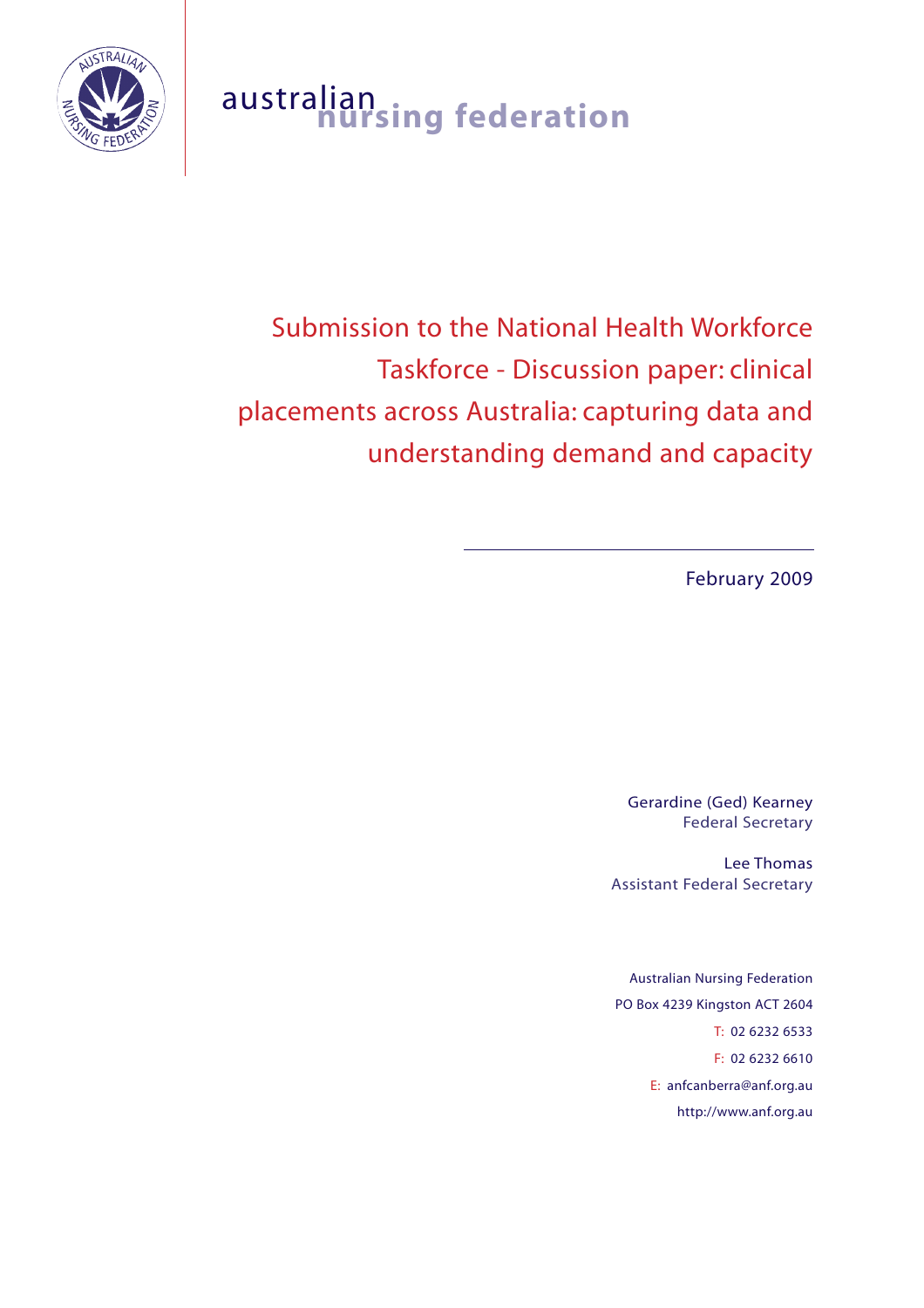

# australian **nursing federation**

Submission to the National Health Workforce Taskforce - Discussion paper: clinical placements across Australia: capturing data and understanding demand and capacity

February 2009

Gerardine (Ged) Kearney Federal Secretary

Lee Thomas Assistant Federal Secretary

Australian Nursing Federation PO Box 4239 Kingston ACT 2604 T: 02 6232 6533 F: 02 6232 6610 E: anfcanberra@anf.org.au http://www.anf.org.au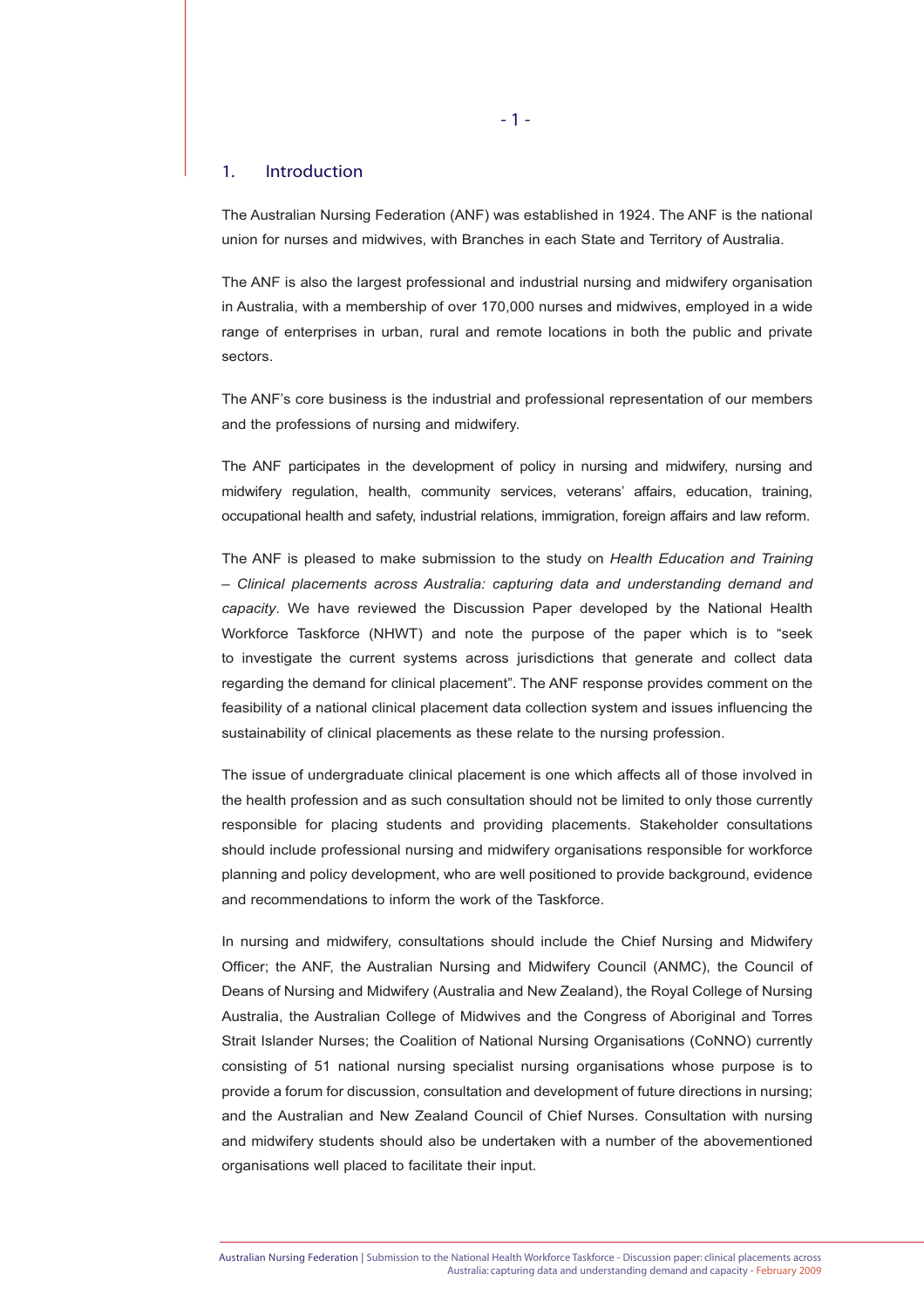# 1. Introduction

The Australian Nursing Federation (ANF) was established in 1924. The ANF is the national union for nurses and midwives, with Branches in each State and Territory of Australia.

The ANF is also the largest professional and industrial nursing and midwifery organisation in Australia, with a membership of over 170,000 nurses and midwives, employed in a wide range of enterprises in urban, rural and remote locations in both the public and private sectors.

The ANF's core business is the industrial and professional representation of our members and the professions of nursing and midwifery.

The ANF participates in the development of policy in nursing and midwifery, nursing and midwifery regulation, health, community services, veterans' affairs, education, training, occupational health and safety, industrial relations, immigration, foreign affairs and law reform.

The ANF is pleased to make submission to the study on *Health Education and Training – Clinical placements across Australia: capturing data and understanding demand and capacity*. We have reviewed the Discussion Paper developed by the National Health Workforce Taskforce (NHWT) and note the purpose of the paper which is to "seek to investigate the current systems across jurisdictions that generate and collect data regarding the demand for clinical placement". The ANF response provides comment on the feasibility of a national clinical placement data collection system and issues influencing the sustainability of clinical placements as these relate to the nursing profession.

The issue of undergraduate clinical placement is one which affects all of those involved in the health profession and as such consultation should not be limited to only those currently responsible for placing students and providing placements. Stakeholder consultations should include professional nursing and midwifery organisations responsible for workforce planning and policy development, who are well positioned to provide background, evidence and recommendations to inform the work of the Taskforce.

In nursing and midwifery, consultations should include the Chief Nursing and Midwifery Officer; the ANF, the Australian Nursing and Midwifery Council (ANMC), the Council of Deans of Nursing and Midwifery (Australia and New Zealand), the Royal College of Nursing Australia, the Australian College of Midwives and the Congress of Aboriginal and Torres Strait Islander Nurses; the Coalition of National Nursing Organisations (CoNNO) currently consisting of 51 national nursing specialist nursing organisations whose purpose is to provide a forum for discussion, consultation and development of future directions in nursing; and the Australian and New Zealand Council of Chief Nurses. Consultation with nursing and midwifery students should also be undertaken with a number of the abovementioned organisations well placed to facilitate their input.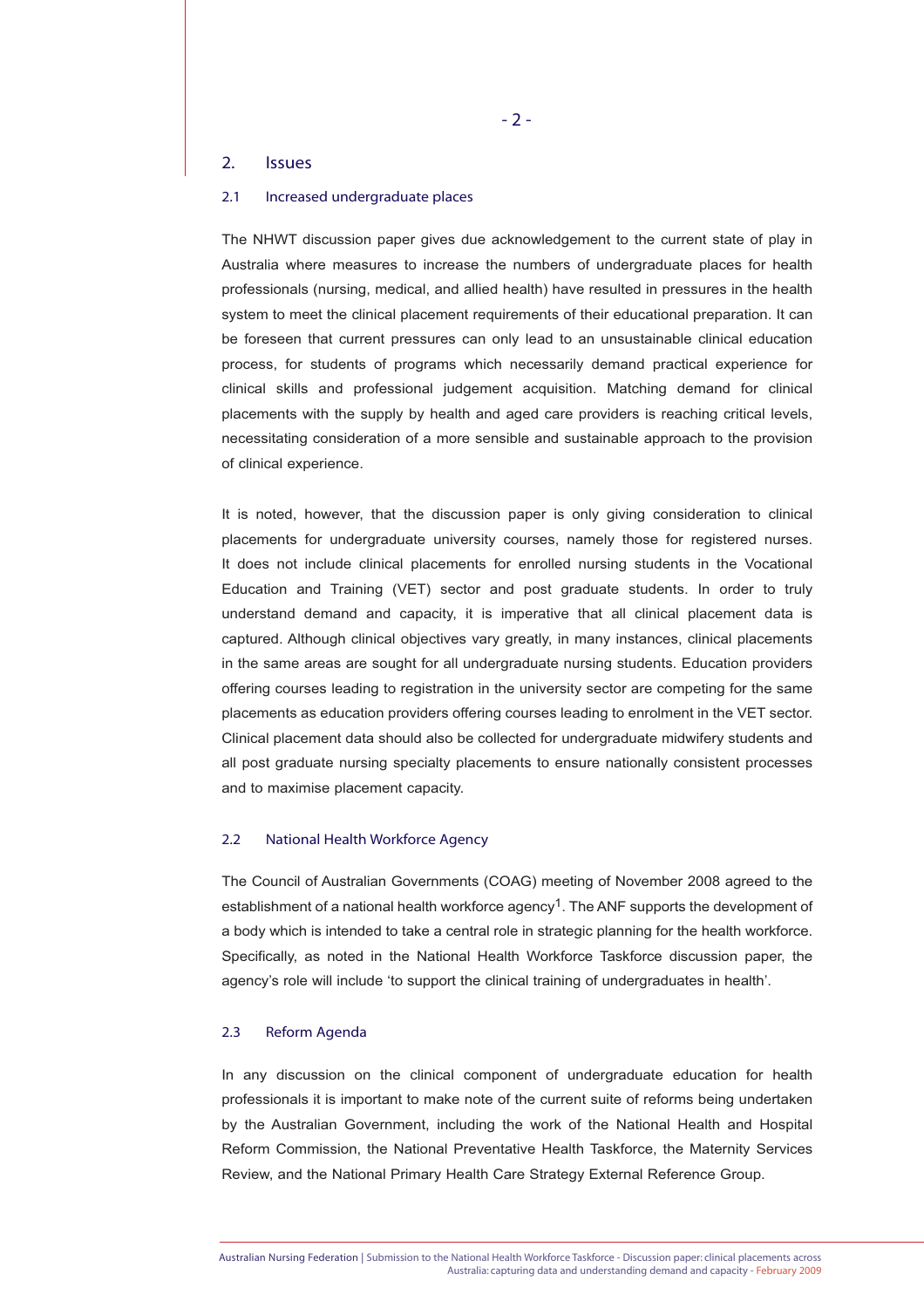# 2. Issues

# 2.1 Increased undergraduate places

The NHWT discussion paper gives due acknowledgement to the current state of play in Australia where measures to increase the numbers of undergraduate places for health professionals (nursing, medical, and allied health) have resulted in pressures in the health system to meet the clinical placement requirements of their educational preparation. It can be foreseen that current pressures can only lead to an unsustainable clinical education process, for students of programs which necessarily demand practical experience for clinical skills and professional judgement acquisition. Matching demand for clinical placements with the supply by health and aged care providers is reaching critical levels, necessitating consideration of a more sensible and sustainable approach to the provision of clinical experience.

It is noted, however, that the discussion paper is only giving consideration to clinical placements for undergraduate university courses, namely those for registered nurses. It does not include clinical placements for enrolled nursing students in the Vocational Education and Training (VET) sector and post graduate students. In order to truly understand demand and capacity, it is imperative that all clinical placement data is captured. Although clinical objectives vary greatly, in many instances, clinical placements in the same areas are sought for all undergraduate nursing students. Education providers offering courses leading to registration in the university sector are competing for the same placements as education providers offering courses leading to enrolment in the VET sector. Clinical placement data should also be collected for undergraduate midwifery students and all post graduate nursing specialty placements to ensure nationally consistent processes and to maximise placement capacity.

# 2.2 National Health Workforce Agency

The Council of Australian Governments (COAG) meeting of November 2008 agreed to the establishment of a national health workforce agency1. The ANF supports the development of a body which is intended to take a central role in strategic planning for the health workforce. Specifically, as noted in the National Health Workforce Taskforce discussion paper, the agency's role will include 'to support the clinical training of undergraduates in health'.

#### 2.3 Reform Agenda

In any discussion on the clinical component of undergraduate education for health professionals it is important to make note of the current suite of reforms being undertaken by the Australian Government, including the work of the National Health and Hospital Reform Commission, the National Preventative Health Taskforce, the Maternity Services Review, and the National Primary Health Care Strategy External Reference Group.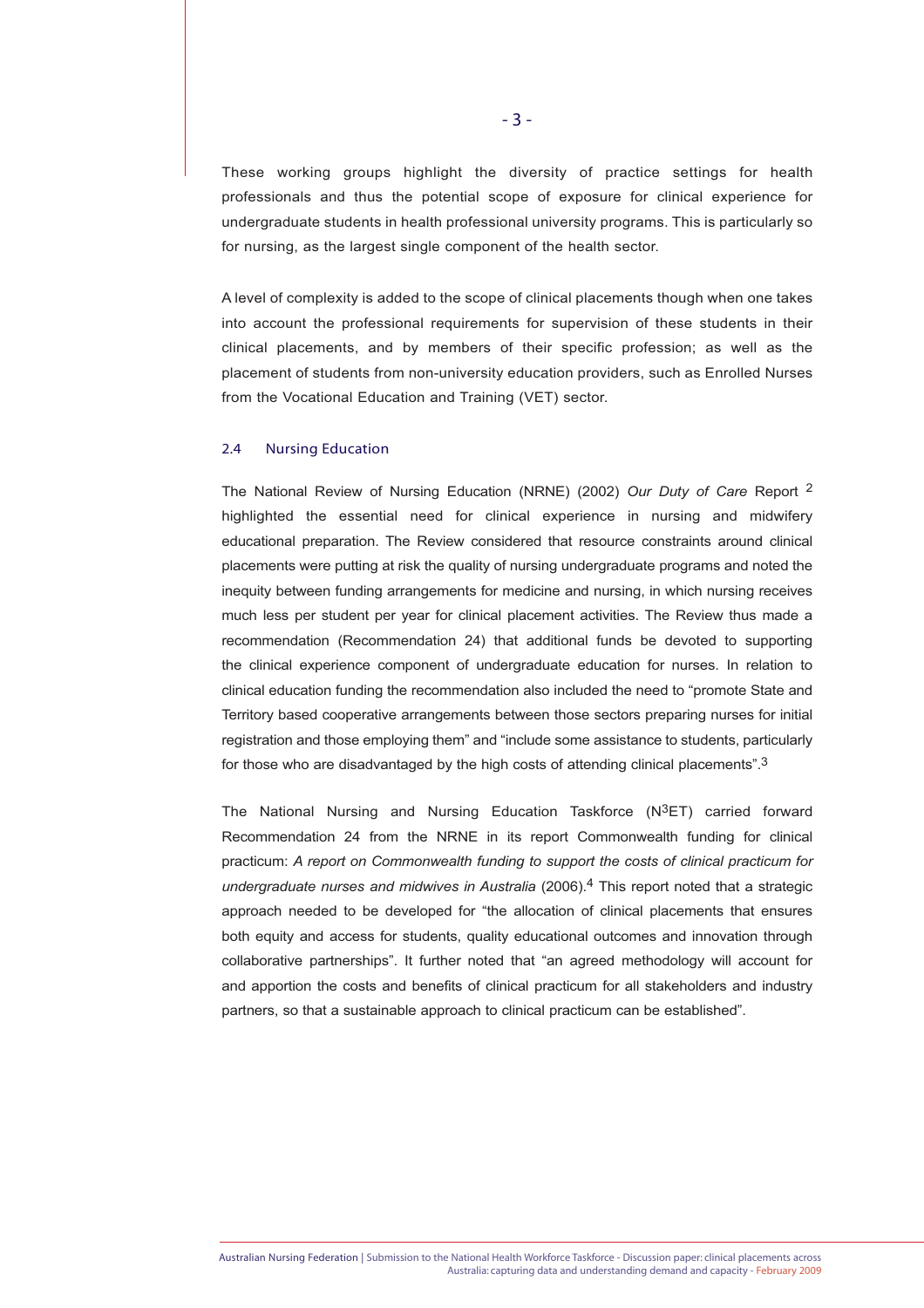These working groups highlight the diversity of practice settings for health professionals and thus the potential scope of exposure for clinical experience for undergraduate students in health professional university programs. This is particularly so for nursing, as the largest single component of the health sector.

A level of complexity is added to the scope of clinical placements though when one takes into account the professional requirements for supervision of these students in their clinical placements, and by members of their specific profession; as well as the placement of students from non-university education providers, such as Enrolled Nurses from the Vocational Education and Training (VET) sector.

# 2.4 Nursing Education

The National Review of Nursing Education (NRNE) (2002) *Our Duty of Care* Report 2 highlighted the essential need for clinical experience in nursing and midwifery educational preparation. The Review considered that resource constraints around clinical placements were putting at risk the quality of nursing undergraduate programs and noted the inequity between funding arrangements for medicine and nursing, in which nursing receives much less per student per year for clinical placement activities. The Review thus made a recommendation (Recommendation 24) that additional funds be devoted to supporting the clinical experience component of undergraduate education for nurses. In relation to clinical education funding the recommendation also included the need to "promote State and Territory based cooperative arrangements between those sectors preparing nurses for initial registration and those employing them" and "include some assistance to students, particularly for those who are disadvantaged by the high costs of attending clinical placements".<sup>3</sup>

The National Nursing and Nursing Education Taskforce (N<sup>3</sup>ET) carried forward Recommendation 24 from the NRNE in its report Commonwealth funding for clinical practicum: *A report on Commonwealth funding to support the costs of clinical practicum for undergraduate nurses and midwives in Australia* (2006).4 This report noted that a strategic approach needed to be developed for "the allocation of clinical placements that ensures both equity and access for students, quality educational outcomes and innovation through collaborative partnerships". It further noted that "an agreed methodology will account for and apportion the costs and benefits of clinical practicum for all stakeholders and industry partners, so that a sustainable approach to clinical practicum can be established".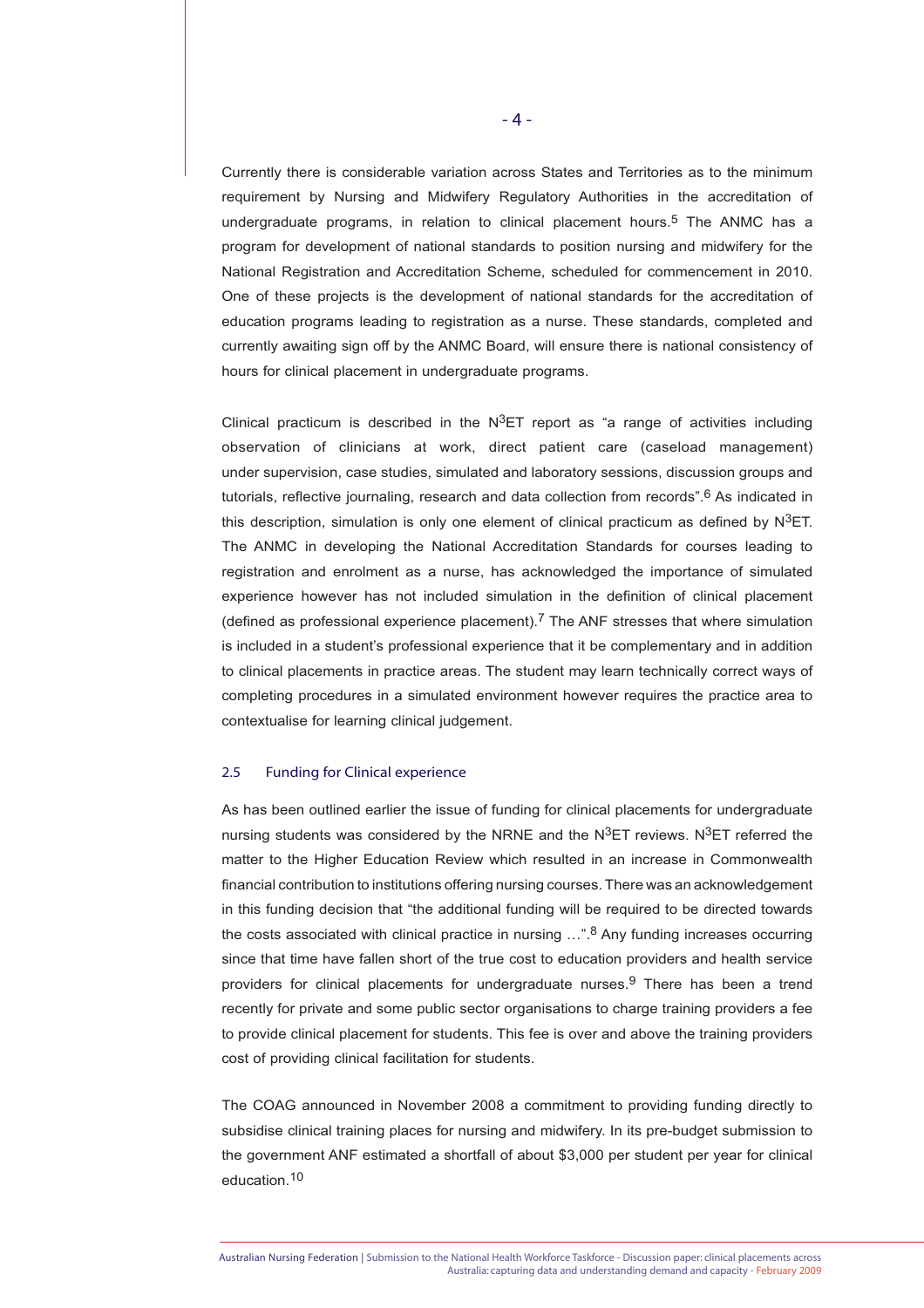Currently there is considerable variation across States and Territories as to the minimum requirement by Nursing and Midwifery Regulatory Authorities in the accreditation of undergraduate programs, in relation to clinical placement hours.<sup>5</sup> The ANMC has a program for development of national standards to position nursing and midwifery for the National Registration and Accreditation Scheme, scheduled for commencement in 2010. One of these projects is the development of national standards for the accreditation of education programs leading to registration as a nurse. These standards, completed and currently awaiting sign off by the ANMC Board, will ensure there is national consistency of hours for clinical placement in undergraduate programs.

Clinical practicum is described in the  $N^3ET$  report as "a range of activities including observation of clinicians at work, direct patient care (caseload management) under supervision, case studies, simulated and laboratory sessions, discussion groups and tutorials, reflective journaling, research and data collection from records".<sup>6</sup> As indicated in this description, simulation is only one element of clinical practicum as defined by  $N^3ET$ . The ANMC in developing the National Accreditation Standards for courses leading to registration and enrolment as a nurse, has acknowledged the importance of simulated experience however has not included simulation in the definition of clinical placement (defined as professional experience placement).7 The ANF stresses that where simulation is included in a student's professional experience that it be complementary and in addition to clinical placements in practice areas. The student may learn technically correct ways of completing procedures in a simulated environment however requires the practice area to contextualise for learning clinical judgement.

## 2.5 Funding for Clinical experience

As has been outlined earlier the issue of funding for clinical placements for undergraduate nursing students was considered by the NRNE and the  $N^3ET$  reviews. N $^3ET$  referred the matter to the Higher Education Review which resulted in an increase in Commonwealth financial contribution to institutions offering nursing courses. There was an acknowledgement in this funding decision that "the additional funding will be required to be directed towards the costs associated with clinical practice in nursing ...".<sup>8</sup> Any funding increases occurring since that time have fallen short of the true cost to education providers and health service providers for clinical placements for undergraduate nurses.9 There has been a trend recently for private and some public sector organisations to charge training providers a fee to provide clinical placement for students. This fee is over and above the training providers cost of providing clinical facilitation for students.

The COAG announced in November 2008 a commitment to providing funding directly to subsidise clinical training places for nursing and midwifery. In its pre-budget submission to the government ANF estimated a shortfall of about \$3,000 per student per year for clinical education.10

Australian Nursing Federation | Submission to the National Health Workforce Taskforce - Discussion paper: clinical placements across Australia: capturing data and understanding demand and capacity - February 2009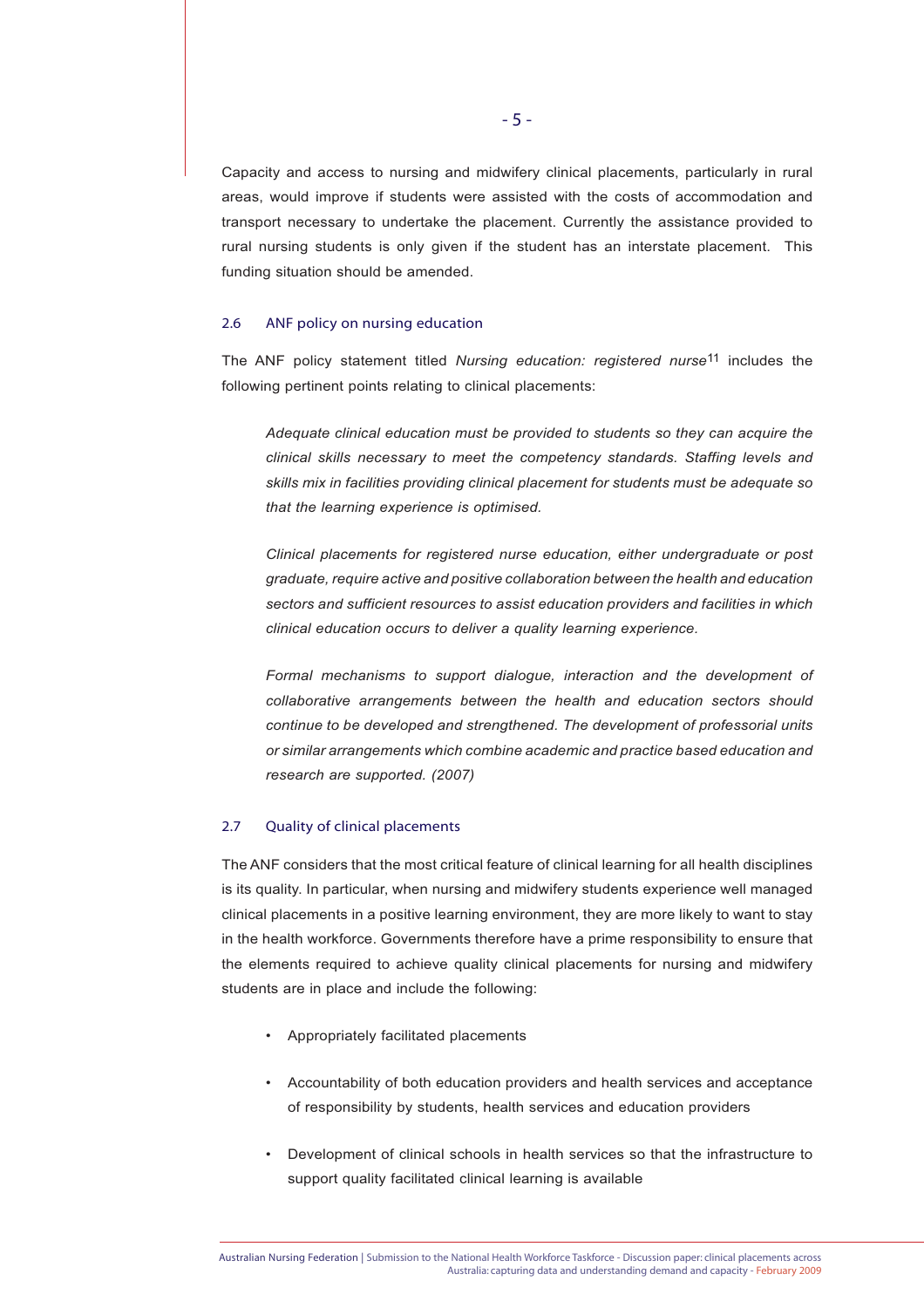Capacity and access to nursing and midwifery clinical placements, particularly in rural areas, would improve if students were assisted with the costs of accommodation and transport necessary to undertake the placement. Currently the assistance provided to rural nursing students is only given if the student has an interstate placement. This funding situation should be amended.

#### 2.6 ANF policy on nursing education

The ANF policy statement titled *Nursing education: registered nurse*11 includes the following pertinent points relating to clinical placements:

*Adequate clinical education must be provided to students so they can acquire the clinical skills necessary to meet the competency standards. Staffing levels and skills mix in facilities providing clinical placement for students must be adequate so that the learning experience is optimised.*

 *Clinical placements for registered nurse education, either undergraduate or post graduate, require active and positive collaboration between the health and education sectors and sufficient resources to assist education providers and facilities in which clinical education occurs to deliver a quality learning experience.*

*Formal mechanisms to support dialogue, interaction and the development of collaborative arrangements between the health and education sectors should continue to be developed and strengthened. The development of professorial units or similar arrangements which combine academic and practice based education and research are supported. (2007)*

# 2.7 Quality of clinical placements

The ANF considers that the most critical feature of clinical learning for all health disciplines is its quality. In particular, when nursing and midwifery students experience well managed clinical placements in a positive learning environment, they are more likely to want to stay in the health workforce. Governments therefore have a prime responsibility to ensure that the elements required to achieve quality clinical placements for nursing and midwifery students are in place and include the following:

- Appropriately facilitated placements
- Accountability of both education providers and health services and acceptance of responsibility by students, health services and education providers
- Development of clinical schools in health services so that the infrastructure to support quality facilitated clinical learning is available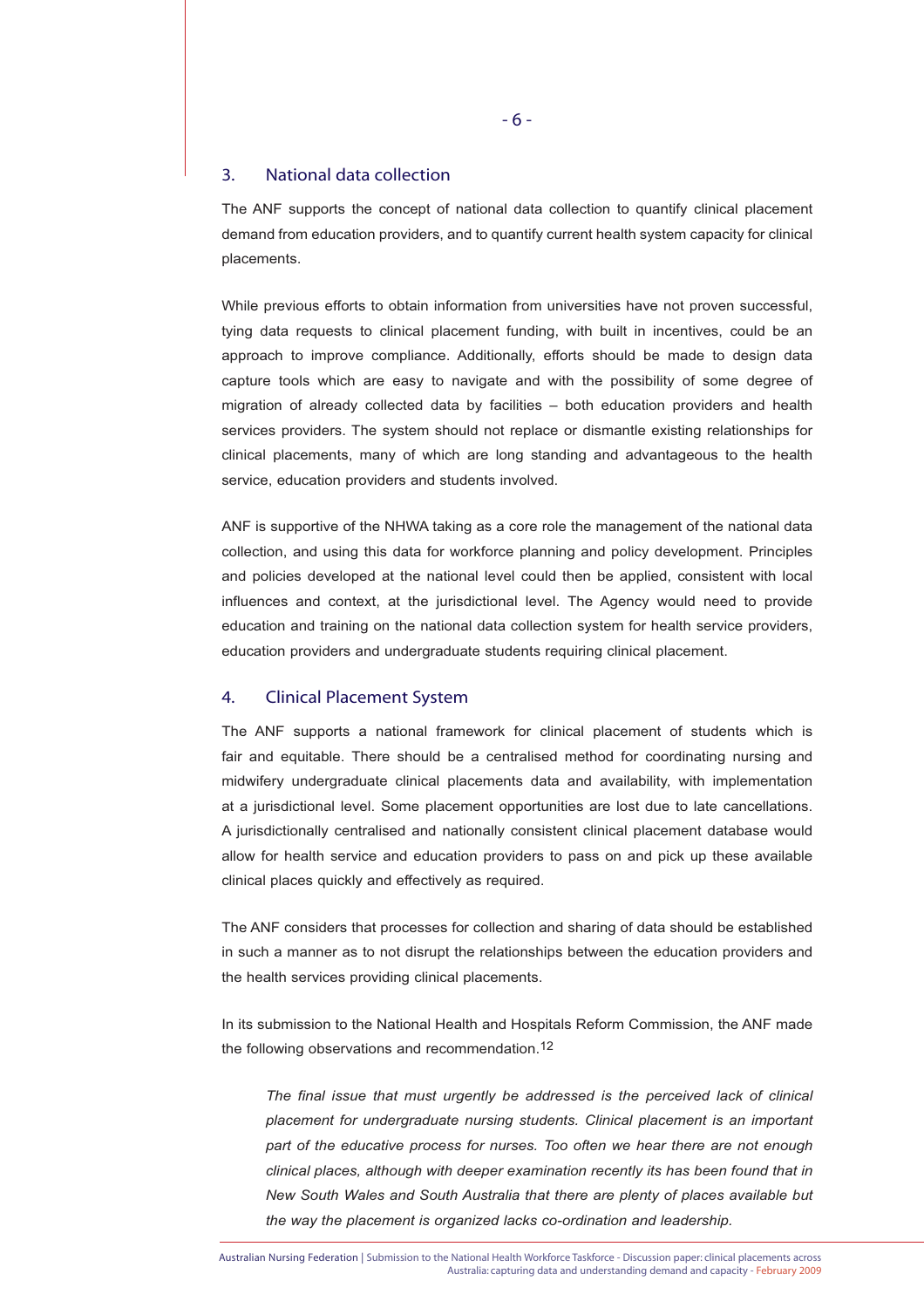# 3. National data collection

The ANF supports the concept of national data collection to quantify clinical placement demand from education providers, and to quantify current health system capacity for clinical placements.

While previous efforts to obtain information from universities have not proven successful, tying data requests to clinical placement funding, with built in incentives, could be an approach to improve compliance. Additionally, efforts should be made to design data capture tools which are easy to navigate and with the possibility of some degree of migration of already collected data by facilities – both education providers and health services providers. The system should not replace or dismantle existing relationships for clinical placements, many of which are long standing and advantageous to the health service, education providers and students involved.

ANF is supportive of the NHWA taking as a core role the management of the national data collection, and using this data for workforce planning and policy development. Principles and policies developed at the national level could then be applied, consistent with local influences and context, at the jurisdictional level. The Agency would need to provide education and training on the national data collection system for health service providers, education providers and undergraduate students requiring clinical placement.

# 4. Clinical Placement System

The ANF supports a national framework for clinical placement of students which is fair and equitable. There should be a centralised method for coordinating nursing and midwifery undergraduate clinical placements data and availability, with implementation at a jurisdictional level. Some placement opportunities are lost due to late cancellations. A jurisdictionally centralised and nationally consistent clinical placement database would allow for health service and education providers to pass on and pick up these available clinical places quickly and effectively as required.

The ANF considers that processes for collection and sharing of data should be established in such a manner as to not disrupt the relationships between the education providers and the health services providing clinical placements.

In its submission to the National Health and Hospitals Reform Commission, the ANF made the following observations and recommendation.<sup>12</sup>

 *The final issue that must urgently be addressed is the perceived lack of clinical placement for undergraduate nursing students. Clinical placement is an important part of the educative process for nurses. Too often we hear there are not enough clinical places, although with deeper examination recently its has been found that in New South Wales and South Australia that there are plenty of places available but the way the placement is organized lacks co-ordination and leadership.*

Australian Nursing Federation | Submission to the National Health Workforce Taskforce - Discussion paper: clinical placements across Australia: capturing data and understanding demand and capacity - February 2009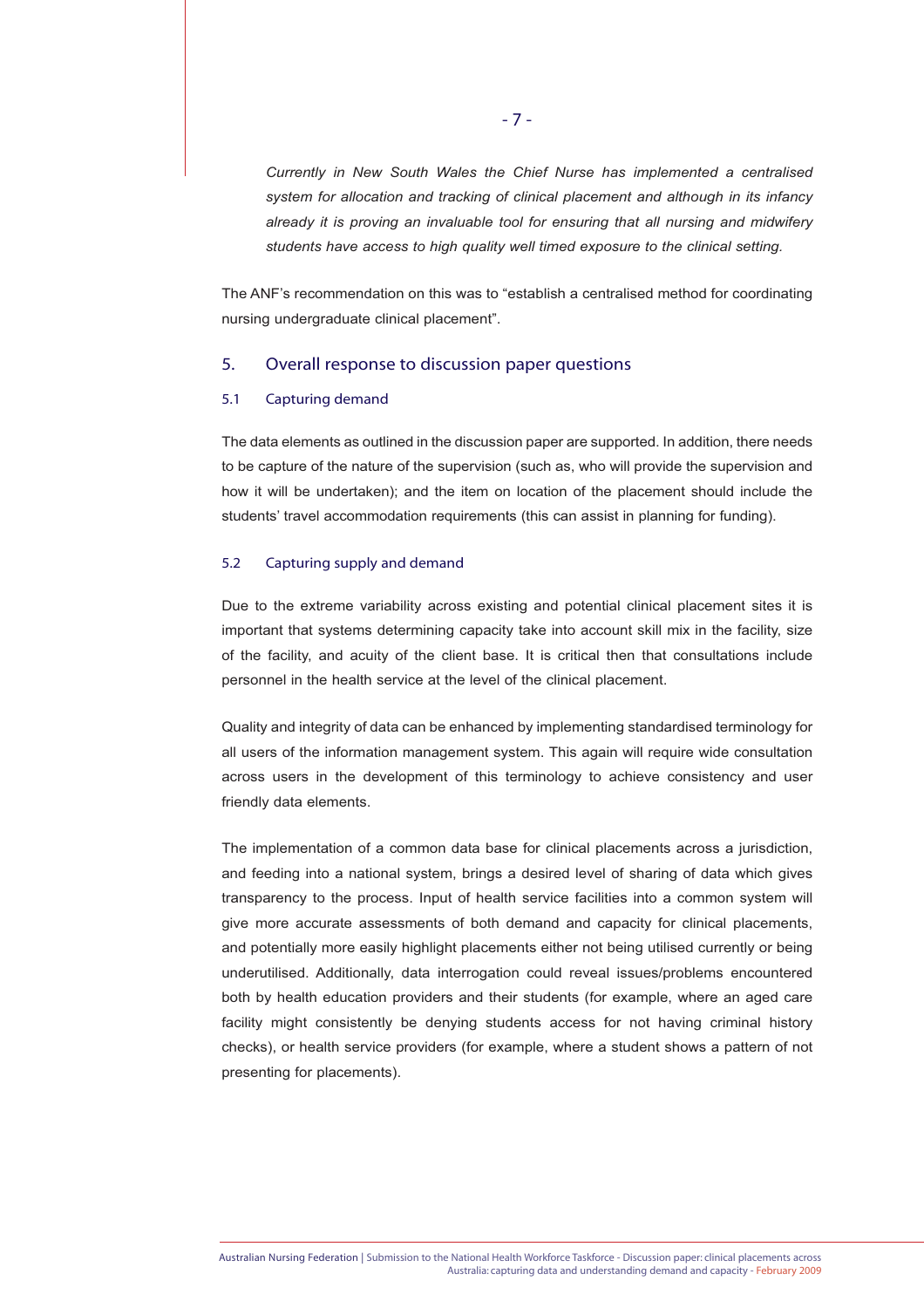*Currently in New South Wales the Chief Nurse has implemented a centralised system for allocation and tracking of clinical placement and although in its infancy already it is proving an invaluable tool for ensuring that all nursing and midwifery students have access to high quality well timed exposure to the clinical setting.*

The ANF's recommendation on this was to "establish a centralised method for coordinating nursing undergraduate clinical placement".

# 5. Overall response to discussion paper questions

# 5.1 Capturing demand

The data elements as outlined in the discussion paper are supported. In addition, there needs to be capture of the nature of the supervision (such as, who will provide the supervision and how it will be undertaken); and the item on location of the placement should include the students' travel accommodation requirements (this can assist in planning for funding).

# 5.2 Capturing supply and demand

Due to the extreme variability across existing and potential clinical placement sites it is important that systems determining capacity take into account skill mix in the facility, size of the facility, and acuity of the client base. It is critical then that consultations include personnel in the health service at the level of the clinical placement.

Quality and integrity of data can be enhanced by implementing standardised terminology for all users of the information management system. This again will require wide consultation across users in the development of this terminology to achieve consistency and user friendly data elements.

The implementation of a common data base for clinical placements across a jurisdiction, and feeding into a national system, brings a desired level of sharing of data which gives transparency to the process. Input of health service facilities into a common system will give more accurate assessments of both demand and capacity for clinical placements, and potentially more easily highlight placements either not being utilised currently or being underutilised. Additionally, data interrogation could reveal issues/problems encountered both by health education providers and their students (for example, where an aged care facility might consistently be denying students access for not having criminal history checks), or health service providers (for example, where a student shows a pattern of not presenting for placements).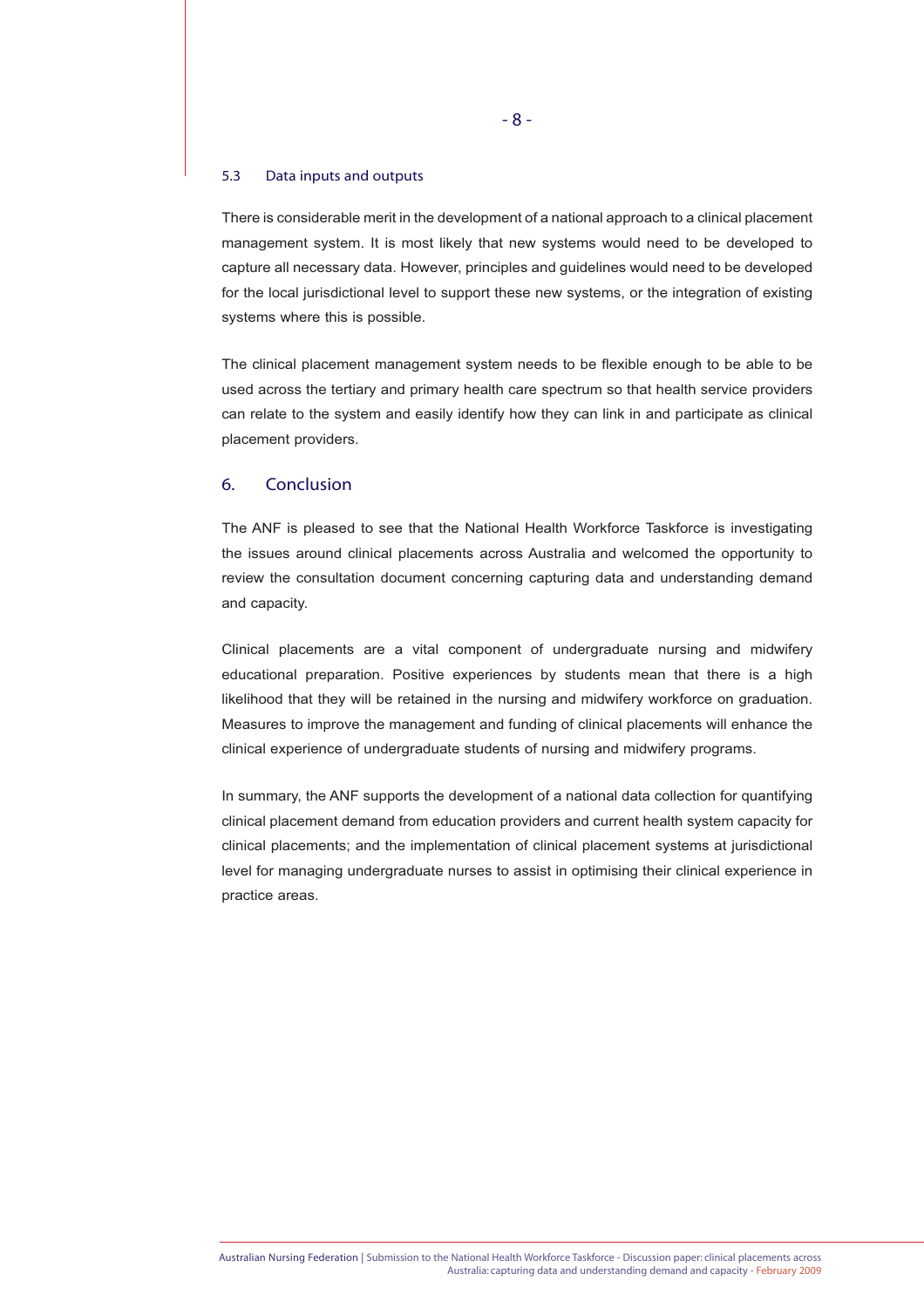#### 5.3 Data inputs and outputs

There is considerable merit in the development of a national approach to a clinical placement management system. It is most likely that new systems would need to be developed to capture all necessary data. However, principles and guidelines would need to be developed for the local jurisdictional level to support these new systems, or the integration of existing systems where this is possible.

The clinical placement management system needs to be flexible enough to be able to be used across the tertiary and primary health care spectrum so that health service providers can relate to the system and easily identify how they can link in and participate as clinical placement providers.

# 6. Conclusion

The ANF is pleased to see that the National Health Workforce Taskforce is investigating the issues around clinical placements across Australia and welcomed the opportunity to review the consultation document concerning capturing data and understanding demand and capacity.

Clinical placements are a vital component of undergraduate nursing and midwifery educational preparation. Positive experiences by students mean that there is a high likelihood that they will be retained in the nursing and midwifery workforce on graduation. Measures to improve the management and funding of clinical placements will enhance the clinical experience of undergraduate students of nursing and midwifery programs.

In summary, the ANF supports the development of a national data collection for quantifying clinical placement demand from education providers and current health system capacity for clinical placements; and the implementation of clinical placement systems at jurisdictional level for managing undergraduate nurses to assist in optimising their clinical experience in practice areas.